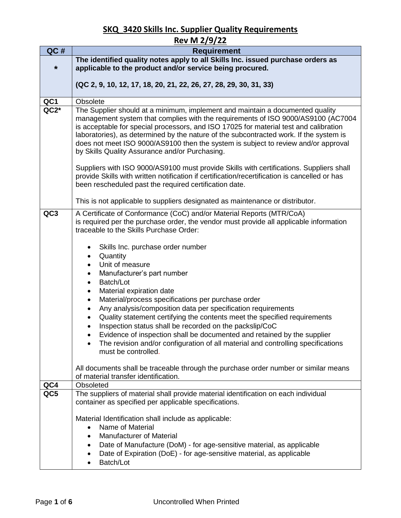|                 | <u>Rev M 2/9/22</u>                                                                                                                                                                                                                                                                                                                                                                                                                                                                          |
|-----------------|----------------------------------------------------------------------------------------------------------------------------------------------------------------------------------------------------------------------------------------------------------------------------------------------------------------------------------------------------------------------------------------------------------------------------------------------------------------------------------------------|
| QC#             | <b>Requirement</b>                                                                                                                                                                                                                                                                                                                                                                                                                                                                           |
|                 | The identified quality notes apply to all Skills Inc. issued purchase orders as                                                                                                                                                                                                                                                                                                                                                                                                              |
| $\star$         | applicable to the product and/or service being procured.                                                                                                                                                                                                                                                                                                                                                                                                                                     |
|                 | (QC 2, 9, 10, 12, 17, 18, 20, 21, 22, 26, 27, 28, 29, 30, 31, 33)                                                                                                                                                                                                                                                                                                                                                                                                                            |
|                 |                                                                                                                                                                                                                                                                                                                                                                                                                                                                                              |
| QC1             | Obsolete                                                                                                                                                                                                                                                                                                                                                                                                                                                                                     |
| $QC2*$          | The Supplier should at a minimum, implement and maintain a documented quality<br>management system that complies with the requirements of ISO 9000/AS9100 (AC7004<br>is acceptable for special processors, and ISO 17025 for material test and calibration<br>laboratories), as determined by the nature of the subcontracted work. If the system is<br>does not meet ISO 9000/AS9100 then the system is subject to review and/or approval<br>by Skills Quality Assurance and/or Purchasing. |
|                 | Suppliers with ISO 9000/AS9100 must provide Skills with certifications. Suppliers shall<br>provide Skills with written notification if certification/recertification is cancelled or has<br>been rescheduled past the required certification date.                                                                                                                                                                                                                                           |
|                 | This is not applicable to suppliers designated as maintenance or distributor.                                                                                                                                                                                                                                                                                                                                                                                                                |
| QC <sub>3</sub> | A Certificate of Conformance (CoC) and/or Material Reports (MTR/CoA)<br>is required per the purchase order, the vendor must provide all applicable information                                                                                                                                                                                                                                                                                                                               |
|                 | traceable to the Skills Purchase Order:                                                                                                                                                                                                                                                                                                                                                                                                                                                      |
|                 | Skills Inc. purchase order number                                                                                                                                                                                                                                                                                                                                                                                                                                                            |
|                 | Quantity                                                                                                                                                                                                                                                                                                                                                                                                                                                                                     |
|                 | Unit of measure<br>$\bullet$                                                                                                                                                                                                                                                                                                                                                                                                                                                                 |
|                 | Manufacturer's part number<br>$\bullet$                                                                                                                                                                                                                                                                                                                                                                                                                                                      |
|                 | Batch/Lot<br>$\bullet$                                                                                                                                                                                                                                                                                                                                                                                                                                                                       |
|                 | Material expiration date<br>$\bullet$                                                                                                                                                                                                                                                                                                                                                                                                                                                        |
|                 | Material/process specifications per purchase order<br>Any analysis/composition data per specification requirements                                                                                                                                                                                                                                                                                                                                                                           |
|                 | ٠<br>Quality statement certifying the contents meet the specified requirements                                                                                                                                                                                                                                                                                                                                                                                                               |
|                 | Inspection status shall be recorded on the packslip/CoC                                                                                                                                                                                                                                                                                                                                                                                                                                      |
|                 | Evidence of inspection shall be documented and retained by the supplier                                                                                                                                                                                                                                                                                                                                                                                                                      |
|                 | The revision and/or configuration of all material and controlling specifications                                                                                                                                                                                                                                                                                                                                                                                                             |
|                 | must be controlled.                                                                                                                                                                                                                                                                                                                                                                                                                                                                          |
|                 |                                                                                                                                                                                                                                                                                                                                                                                                                                                                                              |
|                 | All documents shall be traceable through the purchase order number or similar means<br>of material transfer identification.                                                                                                                                                                                                                                                                                                                                                                  |
| QC4             | Obsoleted                                                                                                                                                                                                                                                                                                                                                                                                                                                                                    |
| QC5             | The suppliers of material shall provide material identification on each individual                                                                                                                                                                                                                                                                                                                                                                                                           |
|                 | container as specified per applicable specifications.                                                                                                                                                                                                                                                                                                                                                                                                                                        |
|                 | Material Identification shall include as applicable:                                                                                                                                                                                                                                                                                                                                                                                                                                         |
|                 | Name of Material<br>$\bullet$                                                                                                                                                                                                                                                                                                                                                                                                                                                                |
|                 | <b>Manufacturer of Material</b>                                                                                                                                                                                                                                                                                                                                                                                                                                                              |
|                 | Date of Manufacture (DoM) - for age-sensitive material, as applicable                                                                                                                                                                                                                                                                                                                                                                                                                        |
|                 | Date of Expiration (DoE) - for age-sensitive material, as applicable<br>٠<br>Batch/Lot                                                                                                                                                                                                                                                                                                                                                                                                       |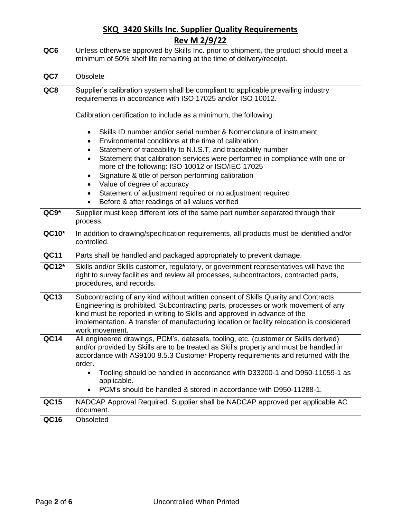| QC6         | Unless otherwise approved by Skills Inc. prior to shipment, the product should meet a                                                                                                                                                                                                                                                                                                                                                                                                                                                                          |
|-------------|----------------------------------------------------------------------------------------------------------------------------------------------------------------------------------------------------------------------------------------------------------------------------------------------------------------------------------------------------------------------------------------------------------------------------------------------------------------------------------------------------------------------------------------------------------------|
|             | minimum of 50% shelf life remaining at the time of delivery/receipt.                                                                                                                                                                                                                                                                                                                                                                                                                                                                                           |
| QC7         | Obsolete                                                                                                                                                                                                                                                                                                                                                                                                                                                                                                                                                       |
| QC8         | Supplier's calibration system shall be compliant to applicable prevailing industry<br>requirements in accordance with ISO 17025 and/or ISO 10012.                                                                                                                                                                                                                                                                                                                                                                                                              |
|             | Calibration certification to include as a minimum, the following:                                                                                                                                                                                                                                                                                                                                                                                                                                                                                              |
|             | Skills ID number and/or serial number & Nomenclature of instrument<br>$\bullet$<br>Environmental conditions at the time of calibration<br>Statement of traceability to N.I.S.T, and traceability number<br>Statement that calibration services were performed in compliance with one or<br>more of the following: ISO 10012 or ISO/IEC 17025<br>Signature & title of person performing calibration<br>$\bullet$<br>Value of degree of accuracy<br>Statement of adjustment required or no adjustment required<br>Before & after readings of all values verified |
| $QC9*$      | Supplier must keep different lots of the same part number separated through their<br>process.                                                                                                                                                                                                                                                                                                                                                                                                                                                                  |
| QC10*       | In addition to drawing/specification requirements, all products must be identified and/or<br>controlled.                                                                                                                                                                                                                                                                                                                                                                                                                                                       |
| <b>QC11</b> | Parts shall be handled and packaged appropriately to prevent damage.                                                                                                                                                                                                                                                                                                                                                                                                                                                                                           |
| QC12*       | Skills and/or Skills customer, regulatory, or government representatives will have the<br>right to survey facilities and review all processes, subcontractors, contracted parts,<br>procedures, and records.                                                                                                                                                                                                                                                                                                                                                   |
| QC13        | Subcontracting of any kind without written consent of Skills Quality and Contracts<br>Engineering is prohibited. Subcontracting parts, processes or work movement of any<br>kind must be reported in writing to Skills and approved in advance of the<br>implementation. A transfer of manufacturing location or facility relocation is considered<br>work movement.                                                                                                                                                                                           |
| QC14        | All engineered drawings, PCM's, datasets, tooling, etc. (customer or Skills derived)<br>and/or provided by Skills are to be treated as Skills property and must be handled in<br>accordance with AS9100 8.5.3 Customer Property requirements and returned with the<br>order.<br>Tooling should be handled in accordance with D33200-1 and D950-11059-1 as<br>applicable.                                                                                                                                                                                       |
| <b>QC15</b> | PCM's should be handled & stored in accordance with D950-11288-1.                                                                                                                                                                                                                                                                                                                                                                                                                                                                                              |
|             | NADCAP Approval Required. Supplier shall be NADCAP approved per applicable AC<br>document.                                                                                                                                                                                                                                                                                                                                                                                                                                                                     |
| <b>QC16</b> | Obsoleted                                                                                                                                                                                                                                                                                                                                                                                                                                                                                                                                                      |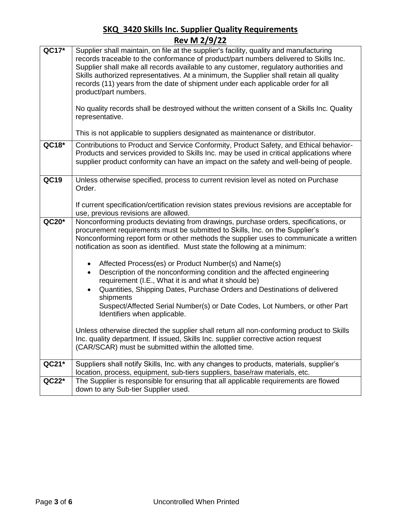| QC17*   | Supplier shall maintain, on file at the supplier's facility, quality and manufacturing                                                                                             |
|---------|------------------------------------------------------------------------------------------------------------------------------------------------------------------------------------|
|         | records traceable to the conformance of product/part numbers delivered to Skills Inc.                                                                                              |
|         | Supplier shall make all records available to any customer, regulatory authorities and                                                                                              |
|         | Skills authorized representatives. At a minimum, the Supplier shall retain all quality<br>records (11) years from the date of shipment under each applicable order for all         |
|         | product/part numbers.                                                                                                                                                              |
|         |                                                                                                                                                                                    |
|         | No quality records shall be destroyed without the written consent of a Skills Inc. Quality<br>representative.                                                                      |
|         | This is not applicable to suppliers designated as maintenance or distributor.                                                                                                      |
| QC18*   | Contributions to Product and Service Conformity, Product Safety, and Ethical behavior-                                                                                             |
|         | Products and services provided to Skills Inc. may be used in critical applications where<br>supplier product conformity can have an impact on the safety and well-being of people. |
|         |                                                                                                                                                                                    |
| QC19    | Unless otherwise specified, process to current revision level as noted on Purchase                                                                                                 |
|         | Order.                                                                                                                                                                             |
|         |                                                                                                                                                                                    |
|         | If current specification/certification revision states previous revisions are acceptable for<br>use, previous revisions are allowed.                                               |
| QC20*   | Nonconforming products deviating from drawings, purchase orders, specifications, or                                                                                                |
|         | procurement requirements must be submitted to Skills, Inc. on the Supplier's                                                                                                       |
|         | Nonconforming report form or other methods the supplier uses to communicate a written<br>notification as soon as identified. Must state the following at a minimum:                |
|         |                                                                                                                                                                                    |
|         | Affected Process(es) or Product Number(s) and Name(s)<br>$\bullet$                                                                                                                 |
|         | Description of the nonconforming condition and the affected engineering<br>$\bullet$<br>requirement (I.E., What it is and what it should be)                                       |
|         | Quantities, Shipping Dates, Purchase Orders and Destinations of delivered<br>$\bullet$                                                                                             |
|         | shipments                                                                                                                                                                          |
|         | Suspect/Affected Serial Number(s) or Date Codes, Lot Numbers, or other Part                                                                                                        |
|         | Identifiers when applicable.                                                                                                                                                       |
|         | Unless otherwise directed the supplier shall return all non-conforming product to Skills                                                                                           |
|         | Inc. quality department. If issued, Skills Inc. supplier corrective action request                                                                                                 |
|         | (CAR/SCAR) must be submitted within the allotted time.                                                                                                                             |
| QC21*   | Suppliers shall notify Skills, Inc. with any changes to products, materials, supplier's                                                                                            |
|         | location, process, equipment, sub-tiers suppliers, base/raw materials, etc.                                                                                                        |
| $QC22*$ | The Supplier is responsible for ensuring that all applicable requirements are flowed                                                                                               |
|         | down to any Sub-tier Supplier used.                                                                                                                                                |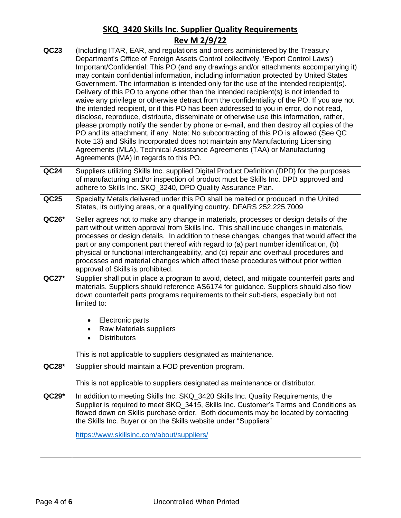| QC23    | (Including ITAR, EAR, and regulations and orders administered by the Treasury<br>Department's Office of Foreign Assets Control collectively, 'Export Control Laws')<br>Important/Confidential: This PO (and any drawings and/or attachments accompanying it)<br>may contain confidential information, including information protected by United States<br>Government. The information is intended only for the use of the intended recipient(s).<br>Delivery of this PO to anyone other than the intended recipient(s) is not intended to<br>waive any privilege or otherwise detract from the confidentiality of the PO. If you are not<br>the intended recipient, or if this PO has been addressed to you in error, do not read,<br>disclose, reproduce, distribute, disseminate or otherwise use this information, rather,<br>please promptly notify the sender by phone or e-mail, and then destroy all copies of the<br>PO and its attachment, if any. Note: No subcontracting of this PO is allowed (See QC<br>Note 13) and Skills Incorporated does not maintain any Manufacturing Licensing<br>Agreements (MLA), Technical Assistance Agreements (TAA) or Manufacturing<br>Agreements (MA) in regards to this PO. |
|---------|---------------------------------------------------------------------------------------------------------------------------------------------------------------------------------------------------------------------------------------------------------------------------------------------------------------------------------------------------------------------------------------------------------------------------------------------------------------------------------------------------------------------------------------------------------------------------------------------------------------------------------------------------------------------------------------------------------------------------------------------------------------------------------------------------------------------------------------------------------------------------------------------------------------------------------------------------------------------------------------------------------------------------------------------------------------------------------------------------------------------------------------------------------------------------------------------------------------------------|
| QC24    | Suppliers utilizing Skills Inc. supplied Digital Product Definition (DPD) for the purposes<br>of manufacturing and/or inspection of product must be Skills Inc. DPD approved and<br>adhere to Skills Inc. SKQ_3240, DPD Quality Assurance Plan.                                                                                                                                                                                                                                                                                                                                                                                                                                                                                                                                                                                                                                                                                                                                                                                                                                                                                                                                                                           |
| QC25    | Specialty Metals delivered under this PO shall be melted or produced in the United<br>States, its outlying areas, or a qualifying country. DFARS 252.225.7009                                                                                                                                                                                                                                                                                                                                                                                                                                                                                                                                                                                                                                                                                                                                                                                                                                                                                                                                                                                                                                                             |
| QC26*   | Seller agrees not to make any change in materials, processes or design details of the<br>part without written approval from Skills Inc. This shall include changes in materials,<br>processes or design details. In addition to these changes, changes that would affect the<br>part or any component part thereof with regard to (a) part number identification, (b)<br>physical or functional interchangeability, and (c) repair and overhaul procedures and<br>processes and material changes which affect these procedures without prior written<br>approval of Skills is prohibited.                                                                                                                                                                                                                                                                                                                                                                                                                                                                                                                                                                                                                                 |
| QC27*   | Supplier shall put in place a program to avoid, detect, and mitigate counterfeit parts and<br>materials. Suppliers should reference AS6174 for guidance. Suppliers should also flow<br>down counterfeit parts programs requirements to their sub-tiers, especially but not<br>limited to:<br>Electronic parts<br><b>Raw Materials suppliers</b><br><b>Distributors</b><br>This is not applicable to suppliers designated as maintenance.                                                                                                                                                                                                                                                                                                                                                                                                                                                                                                                                                                                                                                                                                                                                                                                  |
| QC28*   | Supplier should maintain a FOD prevention program.                                                                                                                                                                                                                                                                                                                                                                                                                                                                                                                                                                                                                                                                                                                                                                                                                                                                                                                                                                                                                                                                                                                                                                        |
|         | This is not applicable to suppliers designated as maintenance or distributor.                                                                                                                                                                                                                                                                                                                                                                                                                                                                                                                                                                                                                                                                                                                                                                                                                                                                                                                                                                                                                                                                                                                                             |
| $QC29*$ | In addition to meeting Skills Inc. SKQ_3420 Skills Inc. Quality Requirements, the<br>Supplier is required to meet SKQ 3415, Skills Inc. Customer's Terms and Conditions as<br>flowed down on Skills purchase order. Both documents may be located by contacting<br>the Skills Inc. Buyer or on the Skills website under "Suppliers"                                                                                                                                                                                                                                                                                                                                                                                                                                                                                                                                                                                                                                                                                                                                                                                                                                                                                       |
|         | https://www.skillsinc.com/about/suppliers/                                                                                                                                                                                                                                                                                                                                                                                                                                                                                                                                                                                                                                                                                                                                                                                                                                                                                                                                                                                                                                                                                                                                                                                |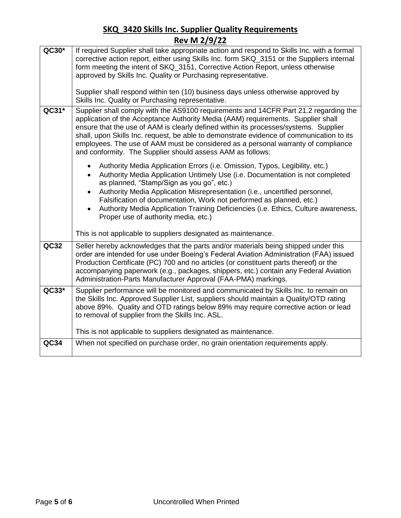|       | ING VII 6/9/66                                                                                                                                                                                                                                                                                                                                                                                                                                                                                                  |
|-------|-----------------------------------------------------------------------------------------------------------------------------------------------------------------------------------------------------------------------------------------------------------------------------------------------------------------------------------------------------------------------------------------------------------------------------------------------------------------------------------------------------------------|
| QC30* | If required Supplier shall take appropriate action and respond to Skills Inc. with a formal<br>corrective action report, either using Skills Inc. form SKQ_3151 or the Suppliers internal<br>form meeting the intent of SKQ_3151, Corrective Action Report, unless otherwise<br>approved by Skills Inc. Quality or Purchasing representative.                                                                                                                                                                   |
|       | Supplier shall respond within ten (10) business days unless otherwise approved by<br>Skills Inc. Quality or Purchasing representative.                                                                                                                                                                                                                                                                                                                                                                          |
| QC31* | Supplier shall comply with the AS9100 requirements and 14CFR Part 21.2 regarding the<br>application of the Acceptance Authority Media (AAM) requirements. Supplier shall<br>ensure that the use of AAM is clearly defined within its processes/systems. Supplier<br>shall, upon Skills Inc. request, be able to demonstrate evidence of communication to its<br>employees. The use of AAM must be considered as a personal warranty of compliance<br>and conformity. The Supplier should assess AAM as follows: |
|       | Authority Media Application Errors (i.e. Omission, Typos, Legibility, etc.)<br>Authority Media Application Untimely Use (i.e. Documentation is not completed<br>$\bullet$<br>as planned, "Stamp/Sign as you go", etc.)<br>Authority Media Application Misrepresentation (i.e., uncertified personnel,<br>Falsification of documentation, Work not performed as planned, etc.)<br>Authority Media Application Training Deficiencies (i.e. Ethics, Culture awareness,<br>Proper use of authority media, etc.)     |
|       | This is not applicable to suppliers designated as maintenance.                                                                                                                                                                                                                                                                                                                                                                                                                                                  |
| QC32  | Seller hereby acknowledges that the parts and/or materials being shipped under this<br>order are intended for use under Boeing's Federal Aviation Administration (FAA) issued<br>Production Certificate (PC) 700 and no articles (or constituent parts thereof) or the<br>accompanying paperwork (e.g., packages, shippers, etc.) contain any Federal Aviation<br>Administration-Parts Manufacturer Approval (FAA-PMA) markings.                                                                                |
| QC33* | Supplier performance will be monitored and communicated by Skills Inc. to remain on<br>the Skills Inc. Approved Supplier List, suppliers should maintain a Quality/OTD rating<br>above 89%. Quality and OTD ratings below 89% may require corrective action or lead<br>to removal of supplier from the Skills Inc. ASL.                                                                                                                                                                                         |
|       | This is not applicable to suppliers designated as maintenance.                                                                                                                                                                                                                                                                                                                                                                                                                                                  |
| QC34  | When not specified on purchase order, no grain orientation requirements apply.                                                                                                                                                                                                                                                                                                                                                                                                                                  |